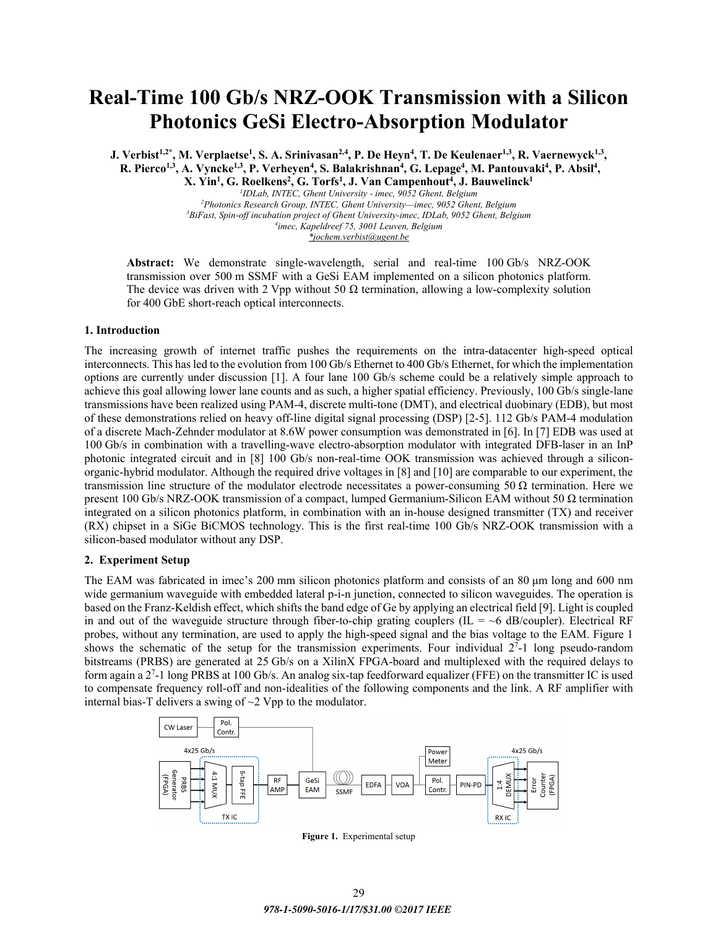# **Real-Time 100 Gb/s NRZ-OOK Transmission with a Silicon Photonics GeSi Electro-Absorption Modulator**

**J. Verbist<sup>1,2\*</sup>, M. Verplaetse<sup>1</sup>, S. A. Srinivasan<sup>2,4</sup>, P. De Heyn<sup>4</sup>, T. De Keulenaer<sup>1,3</sup>, R. Vaernewyck<sup>1,3</sup>,** R. Pierco<sup>1,3</sup>, A. Vyncke<sup>1,3</sup>, P. Verheyen<sup>4</sup>, S. Balakrishnan<sup>4</sup>, G. Lepage<sup>4</sup>, M. Pantouvaki<sup>4</sup>, P. Absil<sup>4</sup>,  $X$ . Yin<sup>1</sup>, G. Roelkens<sup>2</sup>, G. Torfs<sup>1</sup>, J. Van Campenhout<sup>4</sup>, J. Bauwelinck<sup>1</sup>

> *1 IDLab, INTEC, Ghent University - imec, 9052 Ghent, Belgium 2 Photonics Research Group, INTEC, Ghent University—imec, 9052 Ghent, Belgium 3* <sup>3</sup>BiFast, Spin-off incubation project of Ghent University-imec, IDLab, 9052 Ghent, Belgium *imec, Kapeldreef 75, 3001 Leuven, Belgium \*jochem.verbist@ugent.be*

**Abstract:** We demonstrate single-wavelength, serial and real-time 100 Gb/s NRZ-OOK transmission over 500 m SSMF with a GeSi EAM implemented on a silicon photonics platform. The device was driven with 2 Vpp without 50  $\Omega$  termination, allowing a low-complexity solution for 400 GbE short-reach optical interconnects.

## **1. Introduction**

The increasing growth of internet traffic pushes the requirements on the intra-datacenter high-speed optical interconnects. This has led to the evolution from 100 Gb/s Ethernet to 400 Gb/s Ethernet, for which the implementation options are currently under discussion [1]. A four lane 100 Gb/s scheme could be a relatively simple approach to achieve this goal allowing lower lane counts and as such, a higher spatial efficiency. Previously, 100 Gb/s single-lane transmissions have been realized using PAM-4, discrete multi-tone (DMT), and electrical duobinary (EDB), but most of these demonstrations relied on heavy off-line digital signal processing (DSP) [2-5]. 112 Gb/s PAM-4 modulation of a discrete Mach-Zehnder modulator at 8.6W power consumption was demonstrated in [6]. In [7] EDB was used at 100 Gb/s in combination with a travelling-wave electro-absorption modulator with integrated DFB-laser in an InP photonic integrated circuit and in [8] 100 Gb/s non-real-time OOK transmission was achieved through a siliconorganic-hybrid modulator. Although the required drive voltages in [8] and [10] are comparable to our experiment, the transmission line structure of the modulator electrode necessitates a power-consuming 50 Ω termination. Here we present 100 Gb/s NRZ-OOK transmission of a compact, lumped Germanium-Silicon EAM without 50 Ω termination integrated on a silicon photonics platform, in combination with an in-house designed transmitter (TX) and receiver (RX) chipset in a SiGe BiCMOS technology. This is the first real-time 100 Gb/s NRZ-OOK transmission with a silicon-based modulator without any DSP.

## **2. Experiment Setup**

The EAM was fabricated in imec's 200 mm silicon photonics platform and consists of an 80 μm long and 600 nm wide germanium waveguide with embedded lateral p-i-n junction, connected to silicon waveguides. The operation is based on the Franz-Keldish effect, which shifts the band edge of Ge by applying an electrical field [9]. Light is coupled in and out of the waveguide structure through fiber-to-chip grating couplers (IL =  $\sim$ 6 dB/coupler). Electrical RF probes, without any termination, are used to apply the high-speed signal and the bias voltage to the EAM. Figure 1 shows the schematic of the setup for the transmission experiments. Four individual  $2<sup>7</sup>$ -1 long pseudo-random bitstreams (PRBS) are generated at 25 Gb/s on a XilinX FPGA-board and multiplexed with the required delays to form again a 2<sup>7</sup>-1 long PRBS at 100 Gb/s. An analog six-tap feedforward equalizer (FFE) on the transmitter IC is used to compensate frequency roll-off and non-idealities of the following components and the link. A RF amplifier with internal bias-T delivers a swing of ~2 Vpp to the modulator.



**Figure 1.** Experimental setup